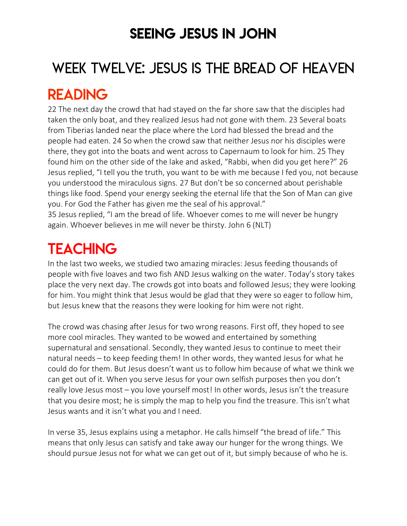### SEEING JESUS IN JOHN

# WEEK TWELVE: JESUS IS THE BREAD OF HEAVEN

### READING

22 The next day the crowd that had stayed on the far shore saw that the disciples had taken the only boat, and they realized Jesus had not gone with them. 23 Several boats from Tiberias landed near the place where the Lord had blessed the bread and the people had eaten. 24 So when the crowd saw that neither Jesus nor his disciples were there, they got into the boats and went across to Capernaum to look for him. 25 They found him on the other side of the lake and asked, "Rabbi, when did you get here?" 26 Jesus replied, "I tell you the truth, you want to be with me because I fed you, not because you understood the miraculous signs. 27 But don't be so concerned about perishable things like food. Spend your energy seeking the eternal life that the Son of Man can give you. For God the Father has given me the seal of his approval."

35 Jesus replied, "I am the bread of life. Whoever comes to me will never be hungry again. Whoever believes in me will never be thirsty. John 6 (NLT)

## **TEACHING**

In the last two weeks, we studied two amazing miracles: Jesus feeding thousands of people with five loaves and two fish AND Jesus walking on the water. Today's story takes place the very next day. The crowds got into boats and followed Jesus; they were looking for him. You might think that Jesus would be glad that they were so eager to follow him, but Jesus knew that the reasons they were looking for him were not right.

The crowd was chasing after Jesus for two wrong reasons. First off, they hoped to see more cool miracles. They wanted to be wowed and entertained by something supernatural and sensational. Secondly, they wanted Jesus to continue to meet their natural needs – to keep feeding them! In other words, they wanted Jesus for what he could do for them. But Jesus doesn't want us to follow him because of what we think we can get out of it. When you serve Jesus for your own selfish purposes then you don't really love Jesus most – you love yourself most! In other words, Jesus isn't the treasure that you desire most; he is simply the map to help you find the treasure. This isn't what Jesus wants and it isn't what you and I need.

In verse 35, Jesus explains using a metaphor. He calls himself "the bread of life." This means that only Jesus can satisfy and take away our hunger for the wrong things. We should pursue Jesus not for what we can get out of it, but simply because of who he is.